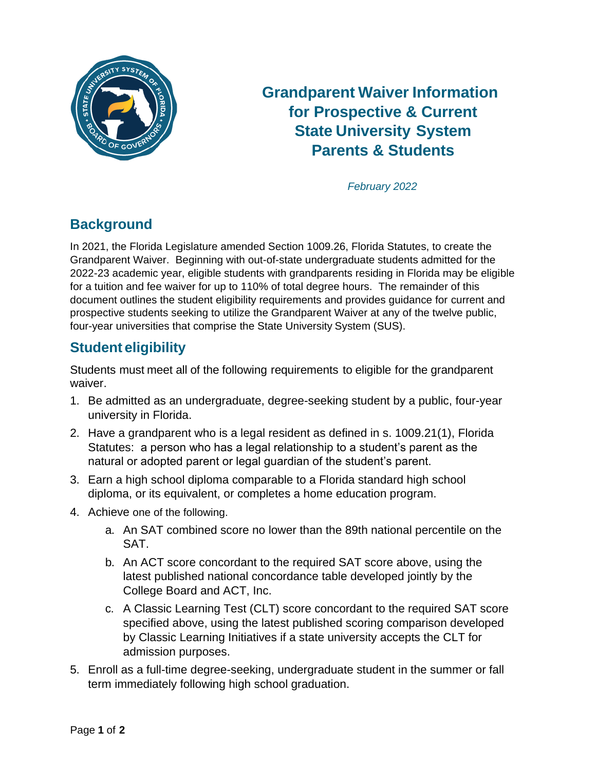

# **Grandparent Waiver Information for Prospective & Current State University System Parents & Students**

 *February 2022*

# **Background**

In 2021, the Florida Legislature amended Section 1009.26, Florida Statutes, to create the Grandparent Waiver. Beginning with out-of-state undergraduate students admitted for the 2022-23 academic year, eligible students with grandparents residing in Florida may be eligible for a tuition and fee waiver for up to 110% of total degree hours. The remainder of this document outlines the student eligibility requirements and provides guidance for current and prospective students seeking to utilize the Grandparent Waiver at any of the twelve public, four-year universities that comprise the State University System (SUS).

### **Student eligibility**

Students must meet all of the following requirements to eligible for the grandparent waiver.

- 1. Be admitted as an undergraduate, degree-seeking student by a public, four-year university in Florida.
- 2. Have a grandparent who is a legal resident as defined in s. 1009.21(1), Florida Statutes: a person who has a legal relationship to a student's parent as the natural or adopted parent or legal guardian of the student's parent.
- 3. Earn a high school diploma comparable to a Florida standard high school diploma, or its equivalent, or completes a home education program.
- 4. Achieve one of the following.
	- a. An SAT combined score no lower than the 89th national percentile on the SAT.
	- b. An ACT score concordant to the required SAT score above, using the latest published national concordance table developed jointly by the College Board and ACT, Inc.
	- c. A Classic Learning Test (CLT) score concordant to the required SAT score specified above, using the latest published scoring comparison developed by Classic Learning Initiatives if a state university accepts the CLT for admission purposes.
- 5. Enroll as a full-time degree-seeking, undergraduate student in the summer or fall term immediately following high school graduation.